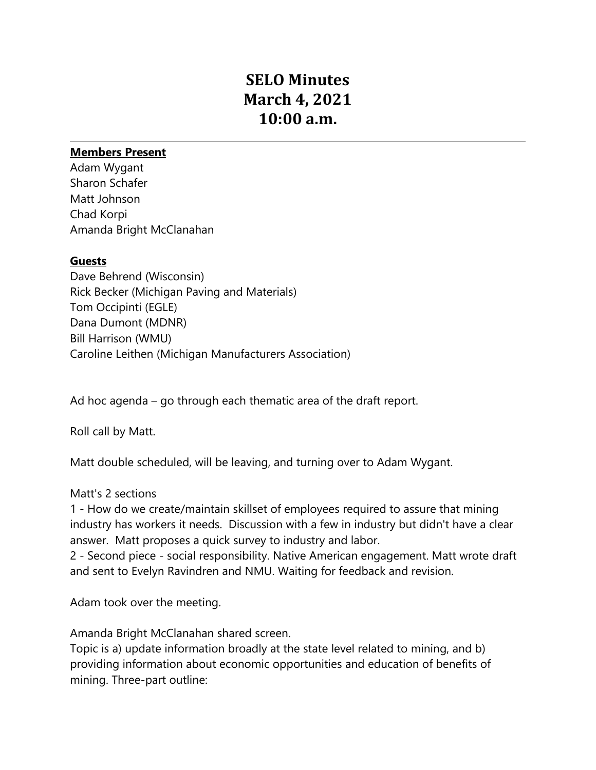# **SELO Minutes March 4, 2021 10:00 a.m.**

## **Members Present**

Adam Wygant Sharon Schafer Matt Johnson Chad Korpi Amanda Bright McClanahan

### **Guests**

Dave Behrend (Wisconsin) Rick Becker (Michigan Paving and Materials) Tom Occipinti (EGLE) Dana Dumont (MDNR) Bill Harrison (WMU) Caroline Leithen (Michigan Manufacturers Association)

Ad hoc agenda – go through each thematic area of the draft report.

Roll call by Matt.

Matt double scheduled, will be leaving, and turning over to Adam Wygant.

### Matt's 2 sections

1 - How do we create/maintain skillset of employees required to assure that mining industry has workers it needs. Discussion with a few in industry but didn't have a clear answer. Matt proposes a quick survey to industry and labor.

2 - Second piece - social responsibility. Native American engagement. Matt wrote draft and sent to Evelyn Ravindren and NMU. Waiting for feedback and revision.

Adam took over the meeting.

Amanda Bright McClanahan shared screen.

Topic is a) update information broadly at the state level related to mining, and b) providing information about economic opportunities and education of benefits of mining. Three-part outline: